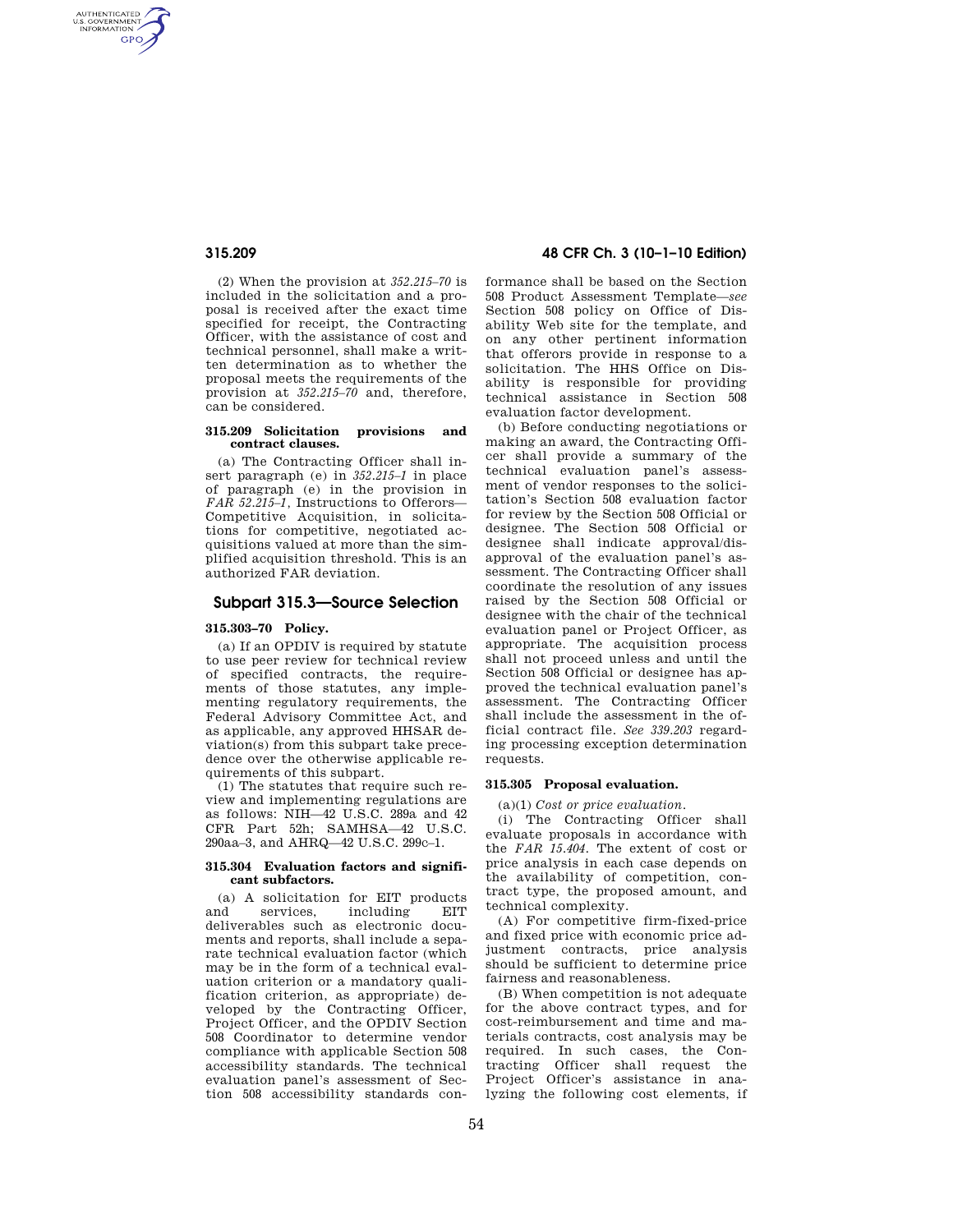AUTHENTICATED<br>U.S. GOVERNMENT<br>INFORMATION **GPO** 

> (2) When the provision at *352.215–70* is included in the solicitation and a proposal is received after the exact time specified for receipt, the Contracting Officer, with the assistance of cost and technical personnel, shall make a written determination as to whether the proposal meets the requirements of the provision at *352.215–70* and, therefore, can be considered.

### **315.209 Solicitation provisions and contract clauses.**

(a) The Contracting Officer shall insert paragraph (e) in *352.215–1* in place of paragraph (e) in the provision in *FAR 52.215–1,* Instructions to Offerors— Competitive Acquisition, in solicitations for competitive, negotiated acquisitions valued at more than the simplified acquisition threshold. This is an authorized FAR deviation.

# **Subpart 315.3—Source Selection**

## **315.303–70 Policy.**

(a) If an OPDIV is required by statute to use peer review for technical review of specified contracts, the requirements of those statutes, any implementing regulatory requirements, the Federal Advisory Committee Act, and as applicable, any approved HHSAR deviation(s) from this subpart take precedence over the otherwise applicable requirements of this subpart.

(1) The statutes that require such review and implementing regulations are as follows: NIH—42 U.S.C. 289a and 42 CFR Part 52h; SAMHSA—42 U.S.C. 290aa–3, and AHRQ—42 U.S.C. 299c–1.

## **315.304 Evaluation factors and significant subfactors.**

(a) A solicitation for EIT products and services including EIT deliverables such as electronic documents and reports, shall include a separate technical evaluation factor (which may be in the form of a technical evaluation criterion or a mandatory qualification criterion, as appropriate) developed by the Contracting Officer, Project Officer, and the OPDIV Section 508 Coordinator to determine vendor compliance with applicable Section 508 accessibility standards. The technical evaluation panel's assessment of Section 508 accessibility standards con-

# **315.209 48 CFR Ch. 3 (10–1–10 Edition)**

formance shall be based on the Section 508 Product Assessment Template—*see*  Section 508 policy on Office of Disability Web site for the template, and on any other pertinent information that offerors provide in response to a solicitation. The HHS Office on Disability is responsible for providing technical assistance in Section 508 evaluation factor development.

(b) Before conducting negotiations or making an award, the Contracting Officer shall provide a summary of the technical evaluation panel's assessment of vendor responses to the solicitation's Section 508 evaluation factor for review by the Section 508 Official or designee. The Section 508 Official or designee shall indicate approval/disapproval of the evaluation panel's assessment. The Contracting Officer shall coordinate the resolution of any issues raised by the Section 508 Official or designee with the chair of the technical evaluation panel or Project Officer, as appropriate. The acquisition process shall not proceed unless and until the Section 508 Official or designee has approved the technical evaluation panel's assessment. The Contracting Officer shall include the assessment in the official contract file. *See 339.203* regarding processing exception determination requests.

# **315.305 Proposal evaluation.**

(a)(1) *Cost or price evaluation.* 

(i) The Contracting Officer shall evaluate proposals in accordance with the *FAR 15.404.* The extent of cost or price analysis in each case depends on the availability of competition, contract type, the proposed amount, and technical complexity.

(A) For competitive firm-fixed-price and fixed price with economic price adjustment contracts, price analysis should be sufficient to determine price fairness and reasonableness.

(B) When competition is not adequate for the above contract types, and for cost-reimbursement and time and materials contracts, cost analysis may be required. In such cases, the Contracting Officer shall request the Project Officer's assistance in analyzing the following cost elements, if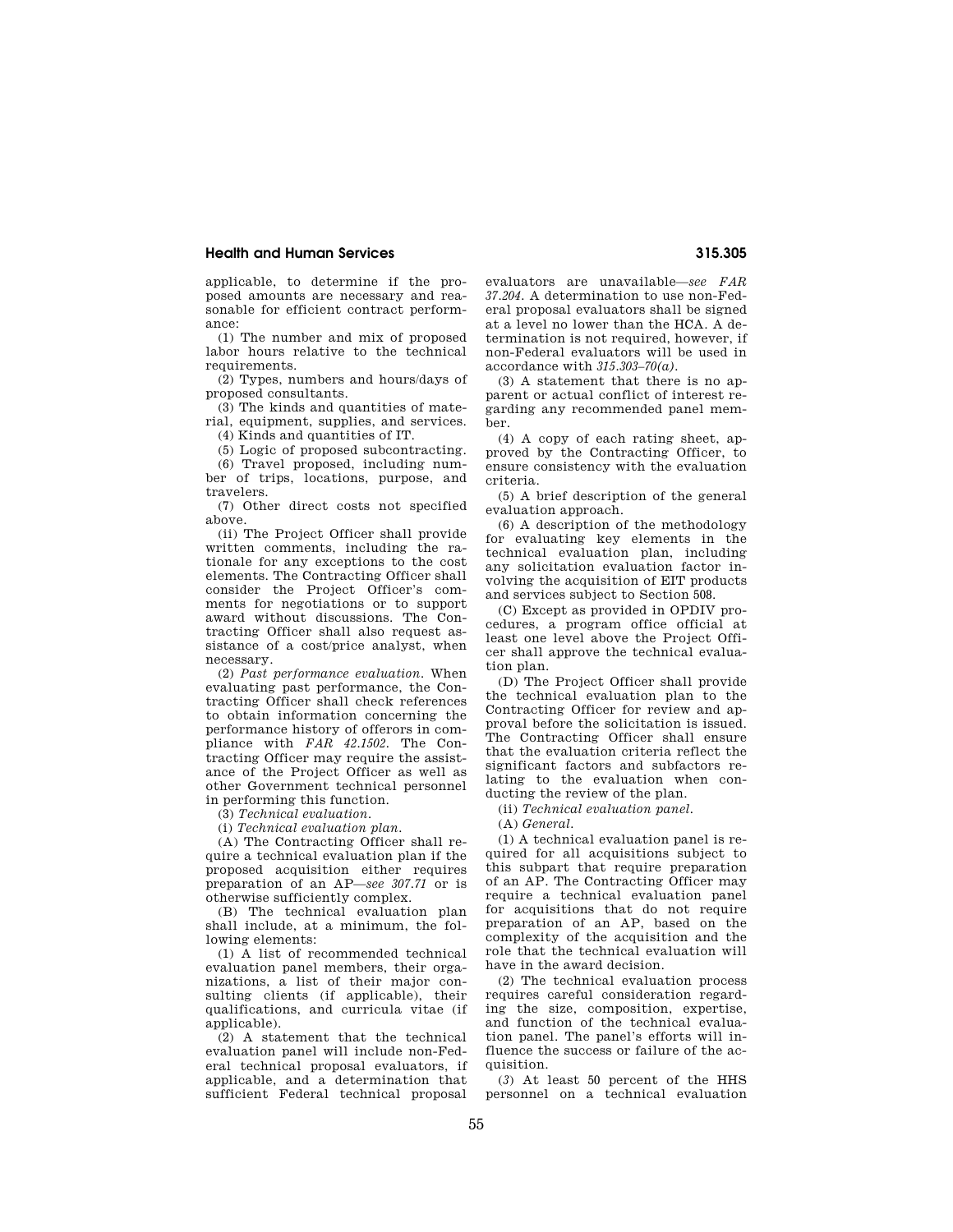# **Health and Human Services 315.305**

applicable, to determine if the proposed amounts are necessary and reasonable for efficient contract performance:

(1) The number and mix of proposed labor hours relative to the technical requirements

(2) Types, numbers and hours/days of proposed consultants.

(3) The kinds and quantities of material, equipment, supplies, and services.

(4) Kinds and quantities of IT.

(5) Logic of proposed subcontracting.

(6) Travel proposed, including number of trips, locations, purpose, and travelers.

(7) Other direct costs not specified above.

(ii) The Project Officer shall provide written comments, including the rationale for any exceptions to the cost elements. The Contracting Officer shall consider the Project Officer's comments for negotiations or to support award without discussions. The Contracting Officer shall also request assistance of a cost/price analyst, when necessary.

(2) *Past performance evaluation.* When evaluating past performance, the Contracting Officer shall check references to obtain information concerning the performance history of offerors in compliance with *FAR 42.1502.* The Contracting Officer may require the assistance of the Project Officer as well as other Government technical personnel in performing this function.

(3) *Technical evaluation.* 

(i) *Technical evaluation plan.* 

(A) The Contracting Officer shall require a technical evaluation plan if the proposed acquisition either requires preparation of an AP—*see 307.71* or is otherwise sufficiently complex.

(B) The technical evaluation plan shall include, at a minimum, the following elements:

(1) A list of recommended technical evaluation panel members, their organizations, a list of their major consulting clients (if applicable), their qualifications, and curricula vitae (if applicable).

(2) A statement that the technical evaluation panel will include non-Federal technical proposal evaluators, if applicable, and a determination that sufficient Federal technical proposal

evaluators are unavailable—*see FAR 37.204.* A determination to use non-Federal proposal evaluators shall be signed at a level no lower than the HCA. A determination is not required, however, if non-Federal evaluators will be used in accordance with *315.303–70(a).* 

(3) A statement that there is no apparent or actual conflict of interest regarding any recommended panel member.

(4) A copy of each rating sheet, approved by the Contracting Officer, to ensure consistency with the evaluation criteria.

(5) A brief description of the general evaluation approach.

(6) A description of the methodology for evaluating key elements in the technical evaluation plan, including any solicitation evaluation factor involving the acquisition of EIT products and services subject to Section 508.

(C) Except as provided in OPDIV procedures, a program office official at least one level above the Project Officer shall approve the technical evaluation plan.

(D) The Project Officer shall provide the technical evaluation plan to the Contracting Officer for review and approval before the solicitation is issued. The Contracting Officer shall ensure that the evaluation criteria reflect the significant factors and subfactors relating to the evaluation when conducting the review of the plan.

(ii) *Technical evaluation panel.* 

(A) *General.* 

(1) A technical evaluation panel is required for all acquisitions subject to this subpart that require preparation of an AP. The Contracting Officer may require a technical evaluation panel for acquisitions that do not require preparation of an AP, based on the complexity of the acquisition and the role that the technical evaluation will have in the award decision.

(2) The technical evaluation process requires careful consideration regarding the size, composition, expertise, and function of the technical evaluation panel. The panel's efforts will influence the success or failure of the acquisition.

(*3*) At least 50 percent of the HHS personnel on a technical evaluation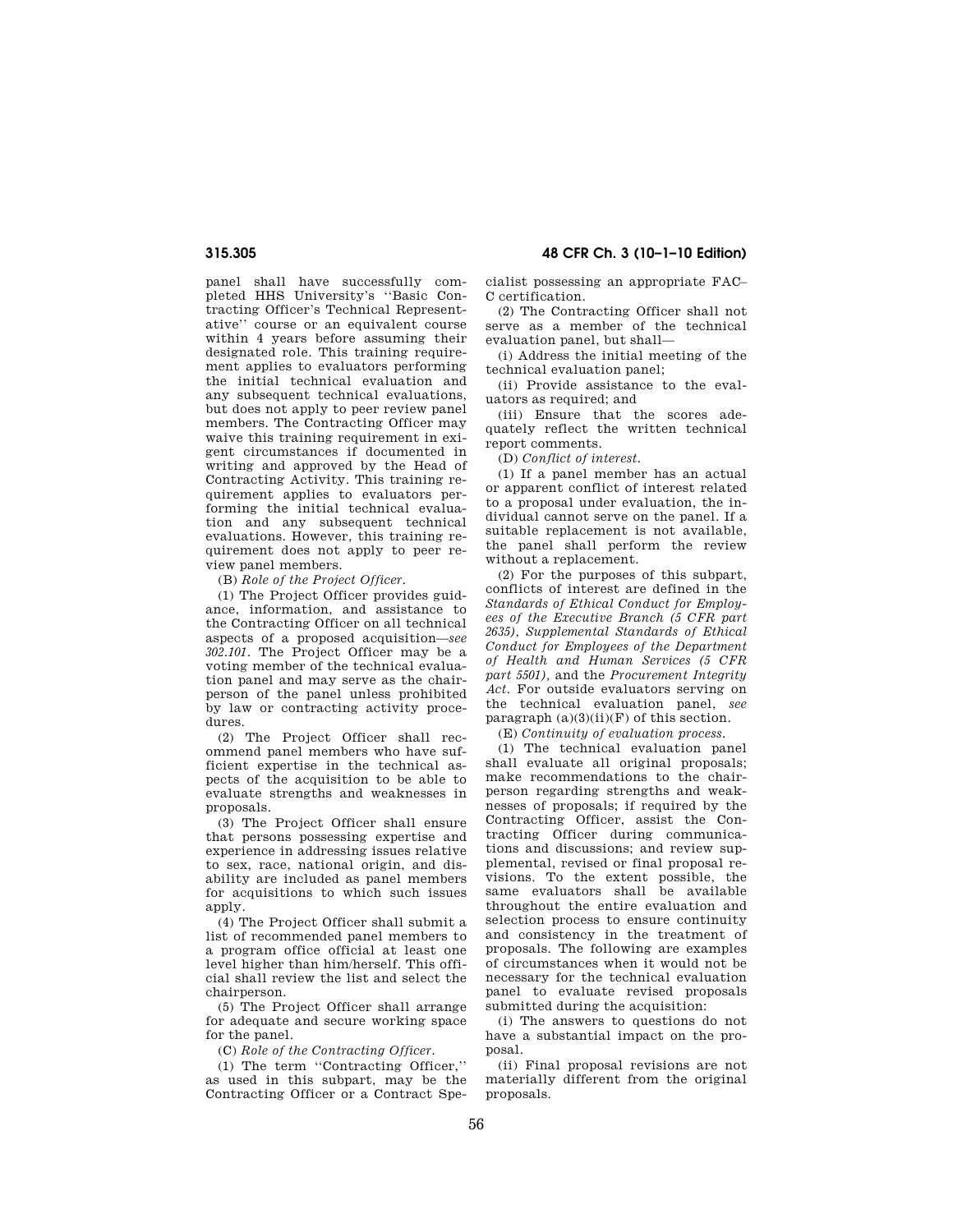# **315.305 48 CFR Ch. 3 (10–1–10 Edition)**

panel shall have successfully completed HHS University's ''Basic Contracting Officer's Technical Representative'' course or an equivalent course within 4 years before assuming their designated role. This training requirement applies to evaluators performing the initial technical evaluation and any subsequent technical evaluations, but does not apply to peer review panel members. The Contracting Officer may waive this training requirement in exigent circumstances if documented in writing and approved by the Head of Contracting Activity. This training requirement applies to evaluators performing the initial technical evaluation and any subsequent technical evaluations. However, this training requirement does not apply to peer review panel members.

(B) *Role of the Project Officer.* 

(1) The Project Officer provides guidance, information, and assistance to the Contracting Officer on all technical aspects of a proposed acquisition—*see 302.101.* The Project Officer may be a voting member of the technical evaluation panel and may serve as the chairperson of the panel unless prohibited by law or contracting activity procedures.

(2) The Project Officer shall recommend panel members who have sufficient expertise in the technical aspects of the acquisition to be able to evaluate strengths and weaknesses in proposals.

(3) The Project Officer shall ensure that persons possessing expertise and experience in addressing issues relative to sex, race, national origin, and disability are included as panel members for acquisitions to which such issues apply.

(4) The Project Officer shall submit a list of recommended panel members to a program office official at least one level higher than him/herself. This official shall review the list and select the chairperson.

(5) The Project Officer shall arrange for adequate and secure working space for the panel.

(C) *Role of the Contracting Officer.* 

(1) The term ''Contracting Officer,'' as used in this subpart, may be the Contracting Officer or a Contract Specialist possessing an appropriate FAC– C certification.

(2) The Contracting Officer shall not serve as a member of the technical evaluation panel, but shall—

(i) Address the initial meeting of the technical evaluation panel;

(ii) Provide assistance to the evaluators as required; and

(iii) Ensure that the scores adequately reflect the written technical report comments.

(D) *Conflict of interest.* 

(1) If a panel member has an actual or apparent conflict of interest related to a proposal under evaluation, the individual cannot serve on the panel. If a suitable replacement is not available, the panel shall perform the review without a replacement.

(2) For the purposes of this subpart, conflicts of interest are defined in the *Standards of Ethical Conduct for Employees of the Executive Branch (5 CFR part 2635), Supplemental Standards of Ethical Conduct for Employees of the Department of Health and Human Services (5 CFR part 5501),* and the *Procurement Integrity Act.* For outside evaluators serving on the technical evaluation panel, *see*  paragraph  $(a)(3)(ii)(F)$  of this section.

(E) *Continuity of evaluation process.* 

(1) The technical evaluation panel shall evaluate all original proposals; make recommendations to the chairperson regarding strengths and weaknesses of proposals; if required by the Contracting Officer, assist the Contracting Officer during communications and discussions; and review supplemental, revised or final proposal revisions. To the extent possible, the same evaluators shall be available throughout the entire evaluation and selection process to ensure continuity and consistency in the treatment of proposals. The following are examples of circumstances when it would not be necessary for the technical evaluation panel to evaluate revised proposals submitted during the acquisition:

(i) The answers to questions do not have a substantial impact on the proposal.

(ii) Final proposal revisions are not materially different from the original proposals.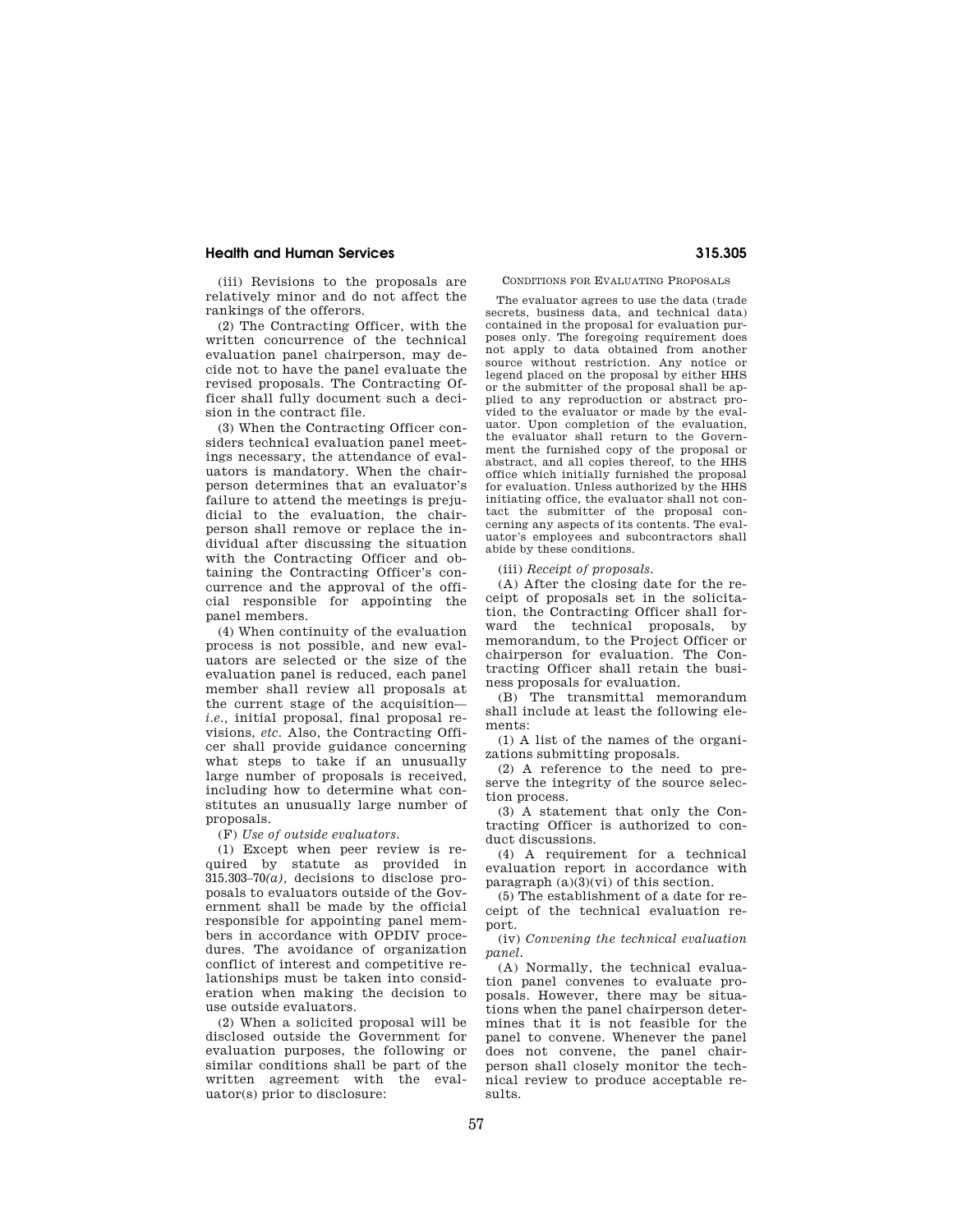# **Health and Human Services 315.305**

(iii) Revisions to the proposals are relatively minor and do not affect the rankings of the offerors.

(2) The Contracting Officer, with the written concurrence of the technical evaluation panel chairperson, may decide not to have the panel evaluate the revised proposals. The Contracting Officer shall fully document such a decision in the contract file.

(3) When the Contracting Officer considers technical evaluation panel meetings necessary, the attendance of evaluators is mandatory. When the chairperson determines that an evaluator's failure to attend the meetings is prejudicial to the evaluation, the chairperson shall remove or replace the individual after discussing the situation with the Contracting Officer and obtaining the Contracting Officer's concurrence and the approval of the official responsible for appointing the panel members.

(4) When continuity of the evaluation process is not possible, and new evaluators are selected or the size of the evaluation panel is reduced, each panel member shall review all proposals at the current stage of the acquisition *i.e.,* initial proposal, final proposal revisions, *etc.* Also, the Contracting Officer shall provide guidance concerning what steps to take if an unusually large number of proposals is received, including how to determine what constitutes an unusually large number of proposals.

(F) *Use of outside evaluators.* 

(1) Except when peer review is required by statute as provided in  $315.303-70(a)$ , decisions to disclose proposals to evaluators outside of the Government shall be made by the official responsible for appointing panel members in accordance with OPDIV procedures. The avoidance of organization conflict of interest and competitive relationships must be taken into consideration when making the decision to use outside evaluators.

(2) When a solicited proposal will be disclosed outside the Government for evaluation purposes, the following or similar conditions shall be part of the written agreement with the evaluator(s) prior to disclosure:

CONDITIONS FOR EVALUATING PROPOSALS

The evaluator agrees to use the data (trade secrets, business data, and technical data) contained in the proposal for evaluation purposes only. The foregoing requirement does not apply to data obtained from another source without restriction. Any notice or legend placed on the proposal by either HHS or the submitter of the proposal shall be applied to any reproduction or abstract provided to the evaluator or made by the evaluator. Upon completion of the evaluation the evaluator shall return to the Government the furnished copy of the proposal or abstract, and all copies thereof, to the HHS office which initially furnished the proposal for evaluation. Unless authorized by the HHS initiating office, the evaluator shall not contact the submitter of the proposal concerning any aspects of its contents. The evaluator's employees and subcontractors shall abide by these conditions.

(iii) *Receipt of proposals.* 

(A) After the closing date for the receipt of proposals set in the solicitation, the Contracting Officer shall forward the technical proposals, by memorandum, to the Project Officer or chairperson for evaluation. The Contracting Officer shall retain the business proposals for evaluation.

(B) The transmittal memorandum shall include at least the following elements:

(1) A list of the names of the organizations submitting proposals.

(2) A reference to the need to preserve the integrity of the source selection process.

(3) A statement that only the Contracting Officer is authorized to conduct discussions.

(4) A requirement for a technical evaluation report in accordance with paragraph  $(a)(3)(vi)$  of this section.

(5) The establishment of a date for receipt of the technical evaluation report.

(iv) *Convening the technical evaluation panel.* 

(A) Normally, the technical evaluation panel convenes to evaluate proposals. However, there may be situations when the panel chairperson determines that it is not feasible for the panel to convene. Whenever the panel does not convene, the panel chairperson shall closely monitor the technical review to produce acceptable results.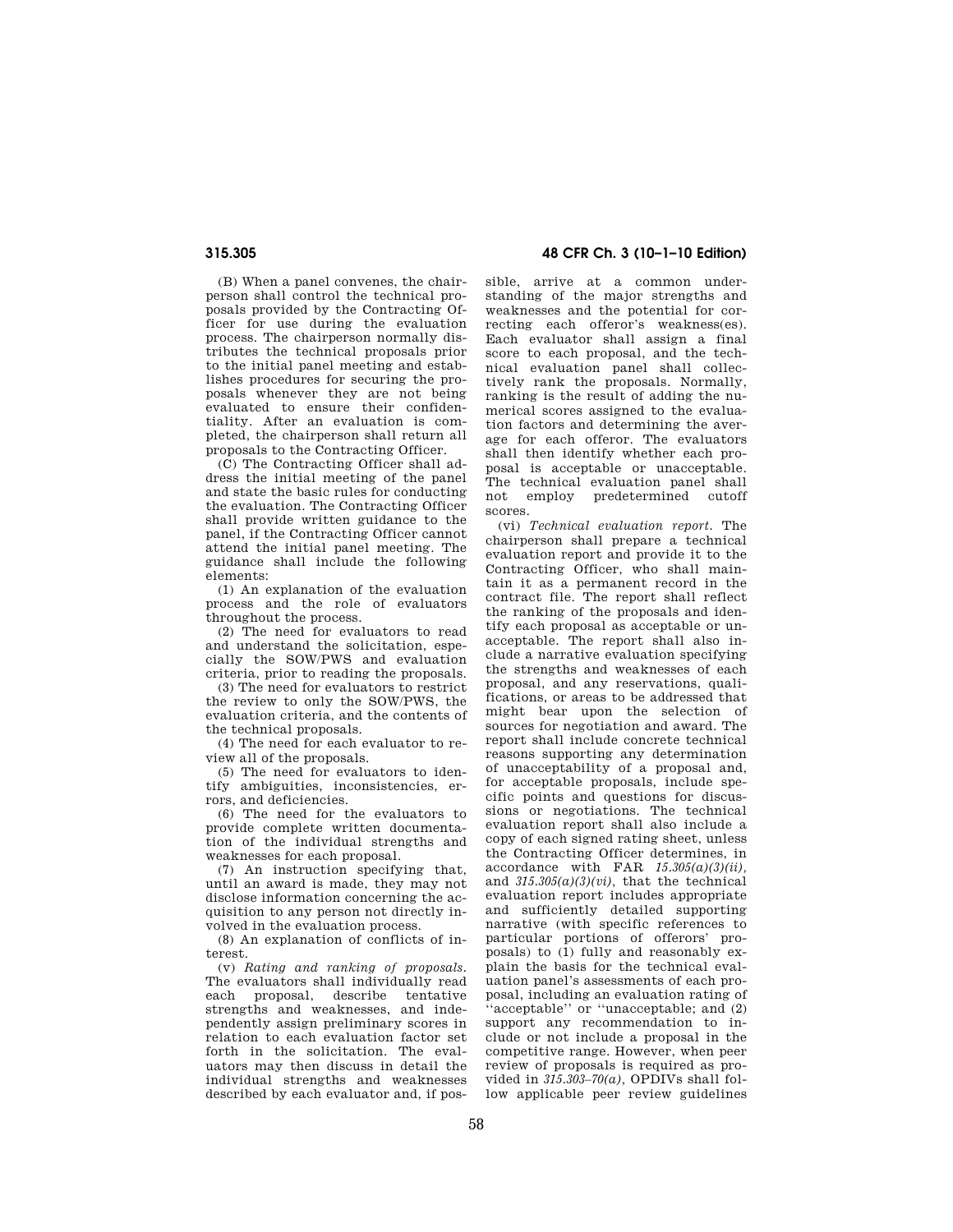(B) When a panel convenes, the chairperson shall control the technical proposals provided by the Contracting Officer for use during the evaluation process. The chairperson normally distributes the technical proposals prior to the initial panel meeting and establishes procedures for securing the proposals whenever they are not being evaluated to ensure their confidentiality. After an evaluation is completed, the chairperson shall return all proposals to the Contracting Officer.

(C) The Contracting Officer shall address the initial meeting of the panel and state the basic rules for conducting the evaluation. The Contracting Officer shall provide written guidance to the panel, if the Contracting Officer cannot attend the initial panel meeting. The guidance shall include the following elements:

(1) An explanation of the evaluation process and the role of evaluators throughout the process.

(2) The need for evaluators to read and understand the solicitation, especially the SOW/PWS and evaluation criteria, prior to reading the proposals.

(3) The need for evaluators to restrict the review to only the SOW/PWS, the evaluation criteria, and the contents of the technical proposals.

(4) The need for each evaluator to review all of the proposals.

(5) The need for evaluators to identify ambiguities, inconsistencies, errors, and deficiencies.

(6) The need for the evaluators to provide complete written documentation of the individual strengths and weaknesses for each proposal.

(7) An instruction specifying that, until an award is made, they may not disclose information concerning the acquisition to any person not directly involved in the evaluation process.

(8) An explanation of conflicts of interest.

(v) *Rating and ranking of proposals.*  The evaluators shall individually read<br>each proposal, describe tentative each proposal, describe strengths and weaknesses, and independently assign preliminary scores in relation to each evaluation factor set forth in the solicitation. The evaluators may then discuss in detail the individual strengths and weaknesses described by each evaluator and, if pos-

**315.305 48 CFR Ch. 3 (10–1–10 Edition)** 

sible, arrive at a common understanding of the major strengths and weaknesses and the potential for correcting each offeror's weakness(es). Each evaluator shall assign a final score to each proposal, and the technical evaluation panel shall collectively rank the proposals. Normally, ranking is the result of adding the numerical scores assigned to the evaluation factors and determining the average for each offeror. The evaluators shall then identify whether each proposal is acceptable or unacceptable. The technical evaluation panel shall not employ predetermined cutoff scores.

(vi) *Technical evaluation report.* The chairperson shall prepare a technical evaluation report and provide it to the Contracting Officer, who shall maintain it as a permanent record in the contract file. The report shall reflect the ranking of the proposals and identify each proposal as acceptable or unacceptable. The report shall also include a narrative evaluation specifying the strengths and weaknesses of each proposal, and any reservations, qualifications, or areas to be addressed that might bear upon the selection of sources for negotiation and award. The report shall include concrete technical reasons supporting any determination of unacceptability of a proposal and, for acceptable proposals, include specific points and questions for discussions or negotiations. The technical evaluation report shall also include a copy of each signed rating sheet, unless the Contracting Officer determines, in accordance with FAR *15.305(a)(3)(ii),*  and *315.305(a)(3)(vi),* that the technical evaluation report includes appropriate and sufficiently detailed supporting narrative (with specific references to particular portions of offerors' proposals) to (1) fully and reasonably explain the basis for the technical evaluation panel's assessments of each proposal, including an evaluation rating of ''acceptable'' or ''unacceptable; and (2) support any recommendation to include or not include a proposal in the competitive range. However, when peer review of proposals is required as provided in *315.303–70(a),* OPDIVs shall follow applicable peer review guidelines